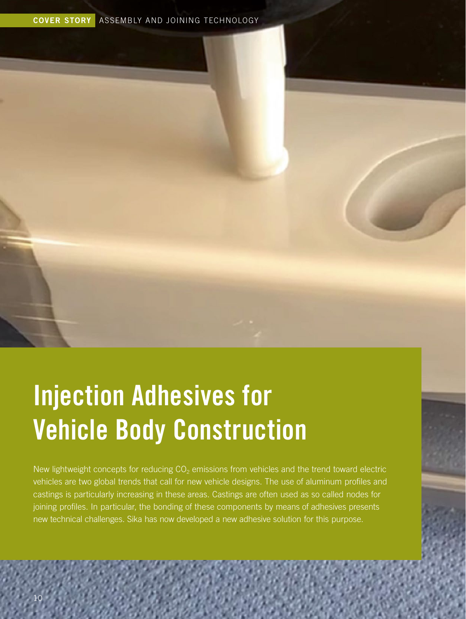COVER STORY Assembly and Joining Technology

# Injection Adhesives for Vehicle Body Construction

New lightweight concepts for reducing  $CO<sub>2</sub>$  emissions from vehicles and the trend toward electric vehicles are two global trends that call for new vehicle designs. The use of aluminum profles and castings is particularly increasing in these areas. Castings are often used as so called nodes for joining profiles. In particular, the bonding of these components by means of adhesives presents new technical challenges. Sika has now developed a new adhesive solution for this purpose.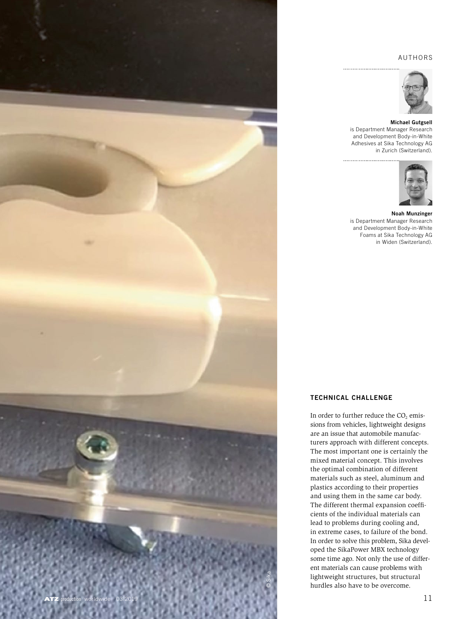### AUTHORS



#### Michael Gutgsell

is Department Manager Research and Development Body-in-White Adhesives at Sika Technology AG in Zurich (Switzerland).



Noah Munzinger is Department Manager Research and Development Body-in-White Foams at Sika Technology AG in Widen (Switzerland).

# TECHNICAL CHALLENGE

In order to further reduce the  $CO<sub>2</sub>$  emissions from vehicles, lightweight designs are an issue that automobile manufacturers approach with different concepts. The most important one is certainly the mixed material concept. This involves the optimal combination of different materials such as steel, aluminum and plastics according to their properties and using them in the same car body. The different thermal expansion coeffcients of the individual materials can lead to problems during cooling and, in extreme cases, to failure of the bond. In order to solve this problem, Sika developed the SikaPower MBX technology some time ago. Not only the use of different materials can cause problems with lightweight structures, but structural hurdles also have to be overcome.

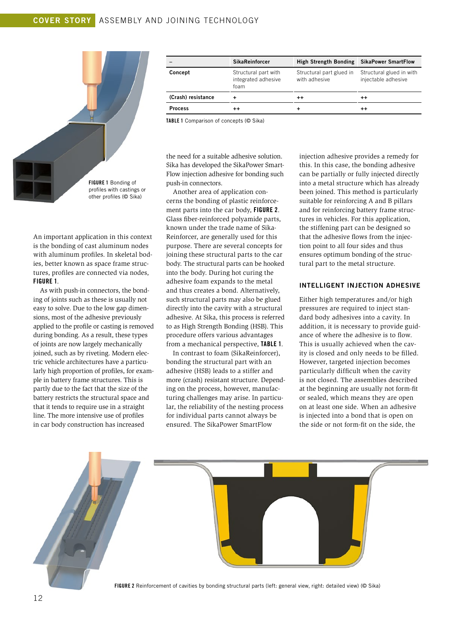

An important application in this context is the bonding of cast aluminum nodes with aluminum profiles. In skeletal bodies, better known as space frame structures, profiles are connected via nodes, FIGURE 1.

As with push-in connectors, the bonding of joints such as these is usually not easy to solve. Due to the low gap dimensions, most of the adhesive previously applied to the profle or casting is removed during bonding. As a result, these types of joints are now largely mechanically joined, such as by riveting. Modern electric vehicle architectures have a particularly high proportion of profles, for example in battery frame structures. This is partly due to the fact that the size of the battery restricts the structural space and that it tends to require use in a straight line. The more intensive use of profles in car body construction has increased

|                    | <b>SikaReinforcer</b>                               | High Strength Bonding                     | <b>SikaPower SmartFlow</b>                      |
|--------------------|-----------------------------------------------------|-------------------------------------------|-------------------------------------------------|
| Concept            | Structural part with<br>integrated adhesive<br>foam | Structural part glued in<br>with adhesive | Structural glued in with<br>injectable adhesive |
| (Crash) resistance | ٠                                                   | $^{\mathrm{+}}$                           | $^{++}$                                         |
| <b>Process</b>     | $^{\mathrm{+}}$                                     | ÷                                         | $^{++}$                                         |

TABLE 1 Comparison of concepts (© Sika)

the need for a suitable adhesive solution. Sika has developed the SikaPower Smart-Flow injection adhesive for bonding such push-in connectors.

Another area of application concerns the bonding of plastic reinforcement parts into the car body, FIGURE 2. Glass fber-reinforced polyamide parts, known under the trade name of Sika-Reinforcer, are generally used for this purpose. There are several concepts for joining these structural parts to the car body. The structural parts can be hooked into the body. During hot curing the adhesive foam expands to the metal and thus creates a bond. Alternatively, such structural parts may also be glued directly into the cavity with a structural adhesive. At Sika, this process is referred to as High Strength Bonding (HSB). This procedure offers various advantages from a mechanical perspective, TABLE 1.

In contrast to foam (SikaReinforcer), bonding the structural part with an adhesive (HSB) leads to a stiffer and more (crash) resistant structure. Depending on the process, however, manufacturing challenges may arise. In particular, the reliability of the nesting process for individual parts cannot always be ensured. The SikaPower SmartFlow

injection adhesive provides a remedy for this. In this case, the bonding adhesive can be partially or fully injected directly into a metal structure which has already been joined. This method is particularly suitable for reinforcing A and B pillars and for reinforcing battery frame structures in vehicles. For this application, the stiffening part can be designed so that the adhesive flows from the injection point to all four sides and thus ensures optimum bonding of the structural part to the metal structure.

#### INTELLIGENT INJECTION ADHESIVE

Either high temperatures and/or high pressures are required to inject standard body adhesives into a cavity. In addition, it is necessary to provide guidance of where the adhesive is to flow. This is usually achieved when the cavity is closed and only needs to be flled. However, targeted injection becomes particularly diffcult when the cavity is not closed. The assemblies described at the beginning are usually not form-ft or sealed, which means they are open on at least one side. When an adhesive is injected into a bond that is open on the side or not form-ft on the side, the



FIGURE 2 Reinforcement of cavities by bonding structural parts (left: general view, right: detailed view) (© Sika)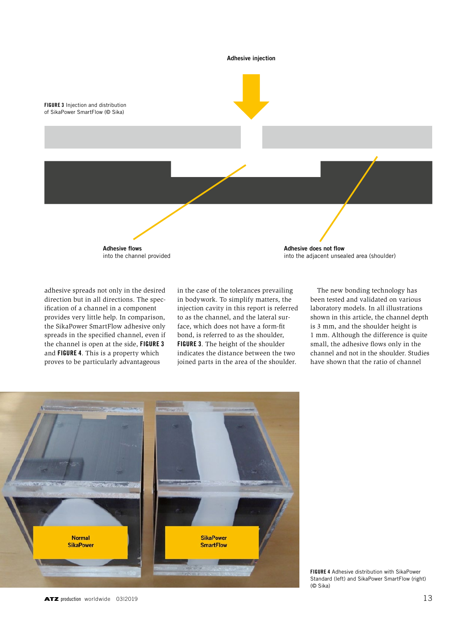Adhesive injection



adhesive spreads not only in the desired direction but in all directions. The specifcation of a channel in a component provides very little help. In comparison, the SikaPower SmartFlow adhesive only spreads in the specifed channel, even if the channel is open at the side, FIGURE 3 and FIGURE 4. This is a property which proves to be particularly advantageous

in the case of the tolerances prevailing in bodywork. To simplify matters, the injection cavity in this report is referred to as the channel, and the lateral surface, which does not have a form-fit bond, is referred to as the shoulder, FIGURE 3. The height of the shoulder indicates the distance between the two joined parts in the area of the shoulder.

The new bonding technology has been tested and validated on various laboratory models. In all illustrations shown in this article, the channel depth is 3 mm, and the shoulder height is 1 mm. Although the difference is quite small, the adhesive flows only in the channel and not in the shoulder. Studies have shown that the ratio of channel

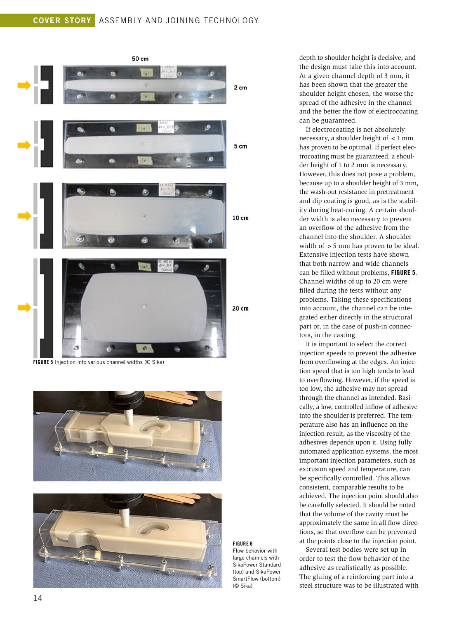

FIGURE 5 Injection into various channel widths (© Sika)





FIGURE 6 Flow behavior with large channels with SikaPower Standard (top) and SikaPower SmartFlow (bottom) (© Sika)

depth to shoulder height is decisive, and the design must take this into account. At a given channel depth of 3 mm, it has been shown that the greater the shoulder height chosen, the worse the spread of the adhesive in the channel and the better the flow of electrocoating can be guaranteed.

If electrocoating is not absolutely necessary, a shoulder height of <1 mm has proven to be optimal. If perfect electrocoating must be guaranteed, a shoulder height of 1 to 2 mm is necessary. However, this does not pose a problem, because up to a shoulder height of 3 mm, the wash-out resistance in pretreatment and dip coating is good, as is the stability during heat-curing. A certain shoulder width is also necessary to prevent an overfow of the adhesive from the channel into the shoulder. A shoulder width of  $> 5$  mm has proven to be ideal. Extensive injection tests have shown that both narrow and wide channels can be flled without problems, FIGURE 5. Channel widths of up to 20 cm were filled during the tests without any problems. Taking these specifcations into account, the channel can be integrated either directly in the structural part or, in the case of push-in connectors, in the casting.

It is important to select the correct injection speeds to prevent the adhesive from overflowing at the edges. An injection speed that is too high tends to lead to overflowing. However, if the speed is too low, the adhesive may not spread through the channel as intended. Basically, a low, controlled inflow of adhesive into the shoulder is preferred. The temperature also has an infuence on the injection result, as the viscosity of the adhesives depends upon it. Using fully automated application systems, the most important injection parameters, such as extrusion speed and temperature, can be specifcally controlled. This allows consistent, comparable results to be achieved. The injection point should also be carefully selected. It should be noted that the volume of the cavity must be approximately the same in all flow directions, so that overflow can be prevented at the points close to the injection point.

Several test bodies were set up in order to test the flow behavior of the adhesive as realistically as possible. The gluing of a reinforcing part into a steel structure was to be illustrated with